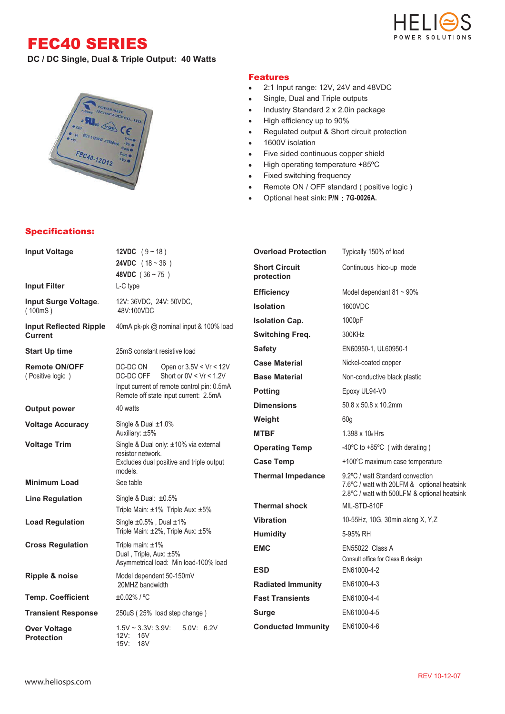## FEC40 SERIES



**DC / DC Single, Dual & Triple Output: 40 Watts**



## Specifications:

## Features

- 2:1 Input range: 12V, 24V and 48VDC
- $\bullet$ Single, Dual and Triple outputs
- Industry Standard 2 x 2.0in package  $\bullet$
- High efficiency up to 90%  $\bullet$
- Regulated output & Short circuit protection  $\bullet$
- $\bullet$ 1600V isolation
- Five sided continuous copper shield  $\bullet$
- High operating temperature +85ºC  $\bullet$
- Fixed switching frequency  $\bullet$
- Remote ON / OFF standard ( positive logic )  $\bullet$
- Optional heat sink**: P/N 7G-0026A.**  $\bullet$

| <b>Input Voltage</b>                                 | 12VDC $(9 - 18)$                                                                                                              |                                        | <b>Overload Protection</b>         | Typically 150% of load                                                                      |  |
|------------------------------------------------------|-------------------------------------------------------------------------------------------------------------------------------|----------------------------------------|------------------------------------|---------------------------------------------------------------------------------------------|--|
|                                                      | <b>24VDC</b> $(18 - 36)$<br>48VDC $(36 \sim 75)$                                                                              |                                        | <b>Short Circuit</b><br>protection | Continuous hicc-up mode                                                                     |  |
| <b>Input Filter</b>                                  | L-C type                                                                                                                      |                                        | <b>Efficiency</b>                  | Model dependant $81 \sim 90\%$                                                              |  |
| Input Surge Voltage.<br>(100mS)                      | 12V: 36VDC, 24V: 50VDC,<br>48V:100VDC                                                                                         |                                        | <b>Isolation</b>                   | 1600VDC                                                                                     |  |
| <b>Input Reflected Ripple</b>                        |                                                                                                                               | 40mA pk-pk @ nominal input & 100% load | <b>Isolation Cap.</b>              | 1000pF                                                                                      |  |
| Current                                              |                                                                                                                               |                                        | <b>Switching Freq.</b>             | 300KHz                                                                                      |  |
| <b>Start Up time</b>                                 | 25mS constant resistive load                                                                                                  |                                        | <b>Safety</b>                      | EN60950-1, UL60950-1                                                                        |  |
| <b>Remote ON/OFF</b>                                 | DC-DC ON                                                                                                                      | Open or $3.5V < Vr < 12V$              | <b>Case Material</b>               | Nickel-coated copper                                                                        |  |
| (Positive logic)                                     | Short or $0V < Vr < 1.2V$<br>DC-DC OFF<br>Input current of remote control pin: 0.5mA<br>Remote off state input current: 2.5mA |                                        | <b>Base Material</b>               | Non-conductive black plastic                                                                |  |
|                                                      |                                                                                                                               |                                        | <b>Potting</b>                     | Epoxy UL94-V0                                                                               |  |
| <b>Output power</b>                                  | 40 watts                                                                                                                      |                                        | <b>Dimensions</b>                  | 50.8 x 50.8 x 10.2mm                                                                        |  |
| <b>Voltage Accuracy</b><br>Single & Dual $\pm 1.0\%$ |                                                                                                                               |                                        | Weight                             | 60 <sub>g</sub>                                                                             |  |
|                                                      | Auxiliary: ±5%                                                                                                                |                                        | <b>MTBF</b>                        | $1.398 \times 10_6$ Hrs                                                                     |  |
| <b>Voltage Trim</b>                                  | Single & Dual only: ±10% via external<br>resistor network.<br>Excludes dual positive and triple output<br>models.             |                                        | <b>Operating Temp</b>              | -40 $\degree$ C to +85 $\degree$ C (with derating)                                          |  |
|                                                      |                                                                                                                               |                                        | <b>Case Temp</b>                   | +100°C maximum case temperature                                                             |  |
|                                                      |                                                                                                                               |                                        | <b>Thermal Impedance</b>           | 9.2°C / watt Standard convection                                                            |  |
| <b>Minimum Load</b><br><b>Line Regulation</b>        | See table<br>Single & Dual: $\pm 0.5\%$                                                                                       |                                        |                                    | 7.6°C / watt with 20LFM & optional heatsink<br>2.8°C / watt with 500LFM & optional heatsink |  |
|                                                      | Triple Main: ±1% Triple Aux: ±5%                                                                                              |                                        | <b>Thermal shock</b>               | MIL-STD-810F                                                                                |  |
| <b>Load Regulation</b>                               | Single $\pm 0.5\%$ , Dual $\pm 1\%$<br>Triple Main: ±2%, Triple Aux: ±5%                                                      |                                        | <b>Vibration</b>                   | 10-55Hz, 10G, 30min along X, Y,Z                                                            |  |
|                                                      |                                                                                                                               |                                        | <b>Humidity</b>                    | 5-95% RH                                                                                    |  |
| <b>Cross Regulation</b>                              | Triple main: $±1\%$<br>Dual, Triple, Aux: ±5%                                                                                 |                                        | <b>EMC</b>                         | EN55022 Class A<br>Consult office for Class B design                                        |  |
|                                                      | Asymmetrical load: Min load-100% load<br>Model dependent 50-150mV<br>20MHZ bandwidth                                          |                                        | <b>ESD</b>                         | EN61000-4-2                                                                                 |  |
| Ripple & noise                                       |                                                                                                                               |                                        | <b>Radiated Immunity</b>           | EN61000-4-3                                                                                 |  |
| <b>Temp. Coefficient</b>                             | ±0.02% / °C                                                                                                                   |                                        | <b>Fast Transients</b>             | EN61000-4-4                                                                                 |  |
| <b>Transient Response</b>                            | 250uS (25% load step change)                                                                                                  |                                        | Surge                              | EN61000-4-5                                                                                 |  |
| <b>Over Voltage</b><br><b>Protection</b>             | $1.5V \sim 3.3V: 3.9V:$<br>12V: 15V<br>15V: 18V                                                                               | 5.0V: 6.2V                             | <b>Conducted Immunity</b>          | EN61000-4-6                                                                                 |  |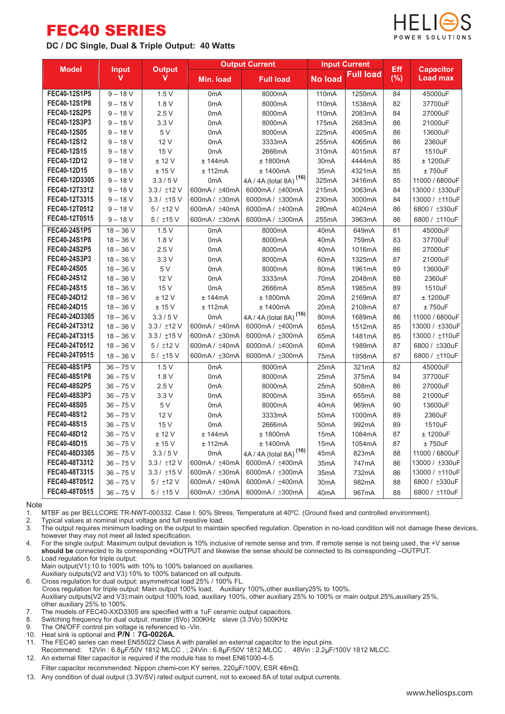## FEC40 SERIES

**DC / DC Single, Dual & Triple Output: 40 Watts**



| <b>Model</b><br><b>Input</b><br><b>Output</b> |             | <b>Output Current</b> |                  | <b>Input Current</b>               |                    | Eff       | <b>Capacitor</b> |                 |
|-----------------------------------------------|-------------|-----------------------|------------------|------------------------------------|--------------------|-----------|------------------|-----------------|
|                                               | V           | v                     | Min. load        | <b>Full load</b>                   | <b>No load</b>     | Full load | (%)              | <b>Load max</b> |
| FEC40-12S1P5                                  | $9 - 18 V$  | 1.5V                  | 0 <sub>m</sub> A | 8000mA                             | 110mA              | 1250mA    | 84               | 45000uF         |
| FEC40-12S1P8                                  | $9 - 18 V$  | 1.8V                  | 0 <sub>m</sub> A | 8000mA                             | 110 <sub>m</sub> A | 1538mA    | 82               | 37700uF         |
| FEC40-12S2P5                                  | $9 - 18 V$  | 2.5V                  | 0 <sub>m</sub> A | 8000mA                             | 110mA              | 2083mA    | 84               | 27000uF         |
| FEC40-12S3P3                                  | $9 - 18 V$  | 3.3V                  | 0 <sub>m</sub> A | 8000mA                             | 175mA              | 2683mA    | 86               | 21000uF         |
| FEC40-12S05                                   | $9 - 18 V$  | 5 V                   | 0 <sub>m</sub> A | 8000mA                             | 225mA              | 4065mA    | 86               | 13600uF         |
| FEC40-12S12                                   | $9 - 18 V$  | 12 V                  | 0 <sub>m</sub> A | 3333mA                             | 255mA              | 4065mA    | 86               | 2360uF          |
| FEC40-12S15                                   | $9 - 18 V$  | 15 V                  | 0 <sub>m</sub> A | 2666mA                             | 310mA              | 4015mA    | 87               | 1510uF          |
| FEC40-12D12                                   | $9 - 18 V$  | ± 12 V                | ± 144mA          | ± 1800mA                           | 30 <sub>m</sub> A  | 4444mA    | 85               | ± 1200uF        |
| FEC40-12D15                                   | $9 - 18 V$  | ±15V                  | $±$ 112 $mA$     | ± 1400mA                           | 35 <sub>m</sub> A  | 4321mA    | 85               | ± 750uF         |
| FEC40-12D3305                                 | $9 - 18 V$  | 3.3/5V                | 0 <sub>m</sub> A | 4A / 4A (total 8A) <sup>(16)</sup> | 325mA              | 3416mA    | 85               | 11000 / 6800uF  |
| FEC40-12T3312                                 | $9 - 18 V$  | 3.3 / ±12 V           | 600mA / ±40mA    | 6000mA / ±400mA                    | 215mA              | 3063mA    | 84               | 13000 / ±330uF  |
| FEC40-12T3315                                 | $9 - 18 V$  | $3.3 / \pm 15$ V      | 600mA / ±30mA    | 6000mA / ±300mA                    | 230mA              | 3000mA    | 84               | 13000 / ±110uF  |
| FEC40-12T0512                                 | $9 - 18 V$  | 5/112V                | 600mA / ±40mA    | 6000mA / ±400mA                    | 280mA              | 4024mA    | 86               | 6800 / ±330uF   |
| FEC40-12T0515                                 | $9 - 18 V$  | 5 / ±15 V             | 600mA / ±30mA    | 6000mA / ±300mA                    | 255mA              | 3963mA    | 86               | 6800 / ±110uF   |
| FEC40-24S1P5                                  | $18 - 36$ V | 1.5V                  | 0 <sub>m</sub> A | 8000mA                             | 40 <sub>m</sub> A  | 649mA     | 81               | 45000uF         |
| FEC40-24S1P8                                  | $18 - 36$ V | 1.8 V                 | 0 <sub>m</sub> A | 8000mA                             | 40 <sub>m</sub> A  | 759mA     | 83               | 37700uF         |
| FEC40-24S2P5                                  | $18 - 36$ V | 2.5V                  | 0 <sub>m</sub> A | 8000mA                             | 40 <sub>m</sub> A  | 1016mA    | 86               | 27000uF         |
| FEC40-24S3P3                                  | $18 - 36$ V | 3.3V                  | 0 <sub>m</sub> A | 8000mA                             | 60 <sub>m</sub> A  | 1325mA    | 87               | 21000uF         |
| FEC40-24S05                                   | $18 - 36$ V | 5 V                   | 0 <sub>m</sub> A | 8000mA                             | 80 <sub>m</sub> A  | 1961mA    | 89               | 13600uF         |
| FEC40-24S12                                   | $18 - 36$ V | 12 V                  | 0 <sub>m</sub> A | 3333mA                             | 70mA               | 2048mA    | 88               | 2360uF          |
| FEC40-24S15                                   | $18 - 36$ V | 15 V                  | 0 <sub>m</sub> A | 2666mA                             | 85 <sub>m</sub> A  | 1985mA    | 89               | 1510uF          |
| FEC40-24D12                                   | $18 - 36$ V | ± 12 V                | ± 144mA          | $±$ 1800 $mA$                      | 20 <sub>m</sub> A  | 2169mA    | 87               | ± 1200uF        |
| FEC40-24D15                                   | $18 - 36$ V | ± 15V                 | $±$ 112mA        | ± 1400mA                           | 20 <sub>m</sub> A  | 2108mA    | 87               | $±750$ u $F$    |
| FEC40-24D3305                                 | $18 - 36$ V | 3.3/5V                | 0 <sub>m</sub> A | 4A / 4A (total 8A) <sup>(16)</sup> | 80mA               | 1689mA    | 86               | 11000 / 6800uF  |
| FEC40-24T3312                                 | $18 - 36 V$ | 3.3 / ±12 V           | 600mA / ±40mA    | 6000mA / ±400mA                    | 65 <sub>m</sub> A  | 1512mA    | 85               | 13000 / ±330uF  |
| FEC40-24T3315                                 | $18 - 36$ V | $3.3 / \pm 15$ V      | 600mA / ±30mA    | 6000mA / ±300mA                    | 65mA               | 1481mA    | 85               | 13000 / ±110uF  |
| FEC40-24T0512                                 | $18 - 36$ V | 5 / ±12 V             | 600mA / ±40mA    | 6000mA / ±400mA                    | 60 <sub>m</sub> A  | 1989mA    | 87               | 6800 / ±330uF   |
| FEC40-24T0515                                 | $18 - 36$ V | 5 / ±15 V             | 600mA / ±30mA    | 6000mA / ±300mA                    | 75 <sub>m</sub> A  | 1958mA    | 87               | 6800 / ±110uF   |
| FEC40-48S1P5                                  | $36 - 75$ V | 1.5V                  | 0 <sub>m</sub> A | 8000mA                             | 25mA               | 321mA     | 82               | 45000uF         |
| FEC40-48S1P8                                  | $36 - 75$ V | 1.8V                  | 0 <sub>m</sub> A | 8000mA                             | 25mA               | 375mA     | 84               | 37700uF         |
| FEC40-48S2P5                                  | $36 - 75$ V | 2.5V                  | 0 <sub>m</sub> A | 8000mA                             | 25mA               | 508mA     | 86               | 27000uF         |
| FEC40-48S3P3                                  | $36 - 75V$  | 3.3V                  | 0 <sub>m</sub> A | 8000mA                             | 35 <sub>m</sub> A  | 655mA     | 88               | 21000uF         |
| FEC40-48S05                                   | $36 - 75V$  | 5 V                   | 0 <sub>m</sub> A | 8000mA                             | 40 <sub>m</sub> A  | 969mA     | 90               | 13600uF         |
| FEC40-48S12                                   | $36 - 75V$  | 12 V                  | 0 <sub>m</sub> A | 3333mA                             | 50 <sub>m</sub> A  | 1000mA    | 89               | 2360uF          |
| FEC40-48S15                                   | $36 - 75V$  | 15 V                  | 0 <sub>m</sub> A | 2666mA                             | 50 <sub>m</sub> A  | 992mA     | 89               | 1510uF          |
| FEC40-48D12                                   | $36 - 75$ V | ± 12 V                | ± 144mA          | $±$ 1800 $mA$                      | 15 <sub>m</sub> A  | 1084mA    | 87               | ± 1200uF        |
| FEC40-48D15                                   | $36 - 75$ V | ± 15V                 | ± 112mA          | ± 1400mA                           | 15 <sub>m</sub> A  | 1054mA    | 87               | $±750$ uF       |
| FEC40-48D3305                                 | $36 - 75$ V | 3.3/5V                | 0 <sub>m</sub> A | 4A / 4A (total 8A) <sup>(16)</sup> | 45mA               | 823mA     | 88               | 11000 / 6800uF  |
| FEC40-48T3312                                 | $36 - 75V$  | $3.3 / \pm 12$ V      | 600mA / ±40mA    | 6000mA / ±400mA                    | 35mA               | 747mA     | 86               | 13000 / ±330uF  |
| FEC40-48T3315                                 | $36 - 75V$  | $3.3 / \pm 15$ V      | 600mA / ±30mA    | 6000mA / ±300mA                    | 35mA               | 732mA     | 86               | 13000 / ±110uF  |
| FEC40-48T0512                                 | $36 - 75V$  | 5 / ±12 V             | 600mA / ±40mA    | 6000mA / ±400mA                    | 30 <sub>m</sub> A  | 982mA     | 88               | 6800 / ±330uF   |
| FEC40-48T0515                                 | $36 - 75V$  | 5/115V                | 600mA / ±30mA    | 6000mA / ±300mA                    | 40 <sub>m</sub> A  | 967mA     | 88               | 6800 / ±110uF   |

Note<br>1.

1. MTBF as per BELLCORE TR-NWT-000332. Case I: 50% Stress, Temperature at 40°C. (Ground fixed and controlled environment).<br>2. Typical values at nominal input voltage and full resistive load.

2. Typical values at nominal input voltage and full resistive load.<br>3. The output requires minimum loading on the output to mainta

3. The output requires minimum loading on the output to maintain specified regulation. Operation in no-load condition will not damage these devices, however they may not meet all listed specification.

4. For the single output: Maximum output deviation is 10% inclusive of remote sense and trim. If remote sense is not being used, the +V sense **should be** connected to its corresponding +OUTPUT and likewise the sense should be connected to its corresponding –OUTPUT.

5. Load regulation for triple output: Main output(V1):10 to 100% with 10% to 100% balanced on auxiliaries.

Auxiliary outputs(V2 and V3):10% to 100% balanced on all outputs. 6. Cross regulation for dual output: asymmetrical load 25% / 100% FL.

Cross regulation for triple output: Main output 100% load, Auxiliary 100%,other auxiliary25% to 100%.

Auxiliary outputs(V2 and V3):main output 100% load, auxiliary 100%, other auxiliary 25% to 100% or main output 25%,auxiliary 25%, other auxiliary 25% to 100%.

7. The models of FEC40-XXD3305 are specified with a 1uF ceramic output capacitors.<br>8. Switching frequency for dual output: master (5Vo) 300KHz, slave (3.3Vo) 500KHz

Switching frequency for dual output: master (5Vo) 300KHz slave (3.3Vo) 500KHz

- 9. The ON/OFF control pin voltage is referenced to -Vin.
- 10. Heat sink is optional and **P/N 7G-0026A.**

The FEC40 series can meet EN55022 Class A with parallel an external capacitor to the input pins. Recommend: 12Vin : 6.8µF/50V 1812 MLCC . ; 24Vin : 6.8µF/50V 1812 MLCC . 48Vin : 2.2µF/100V 1812 MLCC.

12. An external filter capacitor is required if the module has to meet EN61000-4-5.

Filter capacitor recommended: Nippon chemi-con KY series,  $220 \mu F/100V$ , ESR  $48m\Omega$ .

13. Any condition of dual output (3.3V/5V) rated output current, not to exceed 8A of total output currents.